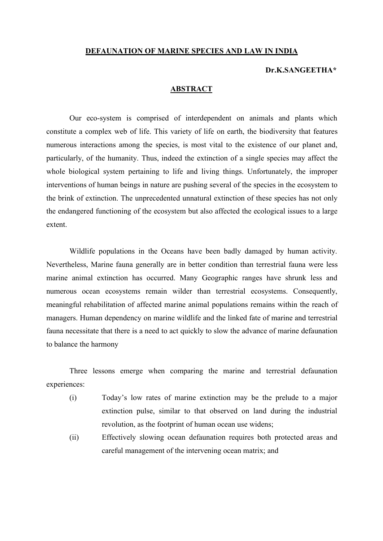#### **DEFAUNATION OF MARINE SPECIES AND LAW IN INDIA**

## **Dr.K.SANGEETHA\***

## **ABSTRACT**

Our eco-system is comprised of interdependent on animals and plants which constitute a complex web of life. This variety of life on earth, the biodiversity that features numerous interactions among the species, is most vital to the existence of our planet and, particularly, of the humanity. Thus, indeed the extinction of a single species may affect the whole biological system pertaining to life and living things. Unfortunately, the improper interventions of human beings in nature are pushing several of the species in the ecosystem to the brink of extinction. The unprecedented unnatural extinction of these species has not only the endangered functioning of the ecosystem but also affected the ecological issues to a large extent.

Wildlife populations in the Oceans have been badly damaged by human activity. Nevertheless, Marine fauna generally are in better condition than terrestrial fauna were less marine animal extinction has occurred. Many Geographic ranges have shrunk less and numerous ocean ecosystems remain wilder than terrestrial ecosystems. Consequently, meaningful rehabilitation of affected marine animal populations remains within the reach of managers. Human dependency on marine wildlife and the linked fate of marine and terrestrial fauna necessitate that there is a need to act quickly to slow the advance of marine defaunation to balance the harmony

Three lessons emerge when comparing the marine and terrestrial defaunation experiences:

- (i) Today's low rates of marine extinction may be the prelude to a major extinction pulse, similar to that observed on land during the industrial revolution, as the footprint of human ocean use widens;
- (ii) Effectively slowing ocean defaunation requires both protected areas and careful management of the intervening ocean matrix; and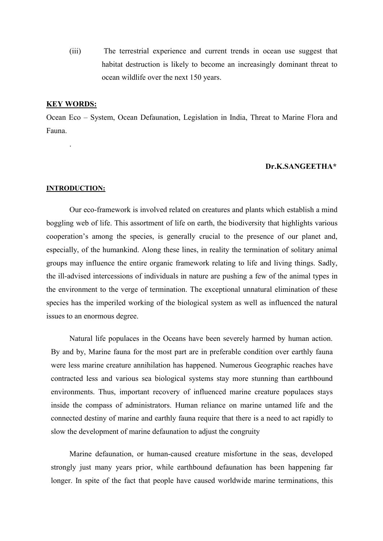(iii) The terrestrial experience and current trends in ocean use suggest that habitat destruction is likely to become an increasingly dominant threat to ocean wildlife over the next 150 years.

#### **KEY WORDS:**

Ocean Eco – System, Ocean Defaunation, Legislation in India, Threat to Marine Flora and Fauna.

# **Dr.K.SANGEETHA\***

## **INTRODUCTION:**

.

Our eco-framework is involved related on creatures and plants which establish a mind boggling web of life. This assortment of life on earth, the biodiversity that highlights various cooperation's among the species, is generally crucial to the presence of our planet and, especially, of the humankind. Along these lines, in reality the termination of solitary animal groups may influence the entire organic framework relating to life and living things. Sadly, the ill-advised intercessions of individuals in nature are pushing a few of the animal types in the environment to the verge of termination. The exceptional unnatural elimination of these species has the imperiled working of the biological system as well as influenced the natural issues to an enormous degree.

Natural life populaces in the Oceans have been severely harmed by human action. By and by, Marine fauna for the most part are in preferable condition over earthly fauna were less marine creature annihilation has happened. Numerous Geographic reaches have contracted less and various sea biological systems stay more stunning than earthbound environments. Thus, important recovery of influenced marine creature populaces stays inside the compass of administrators. Human reliance on marine untamed life and the connected destiny of marine and earthly fauna require that there is a need to act rapidly to slow the development of marine defaunation to adjust the congruity

Marine defaunation, or human-caused creature misfortune in the seas, developed strongly just many years prior, while earthbound defaunation has been happening far longer. In spite of the fact that people have caused worldwide marine terminations, this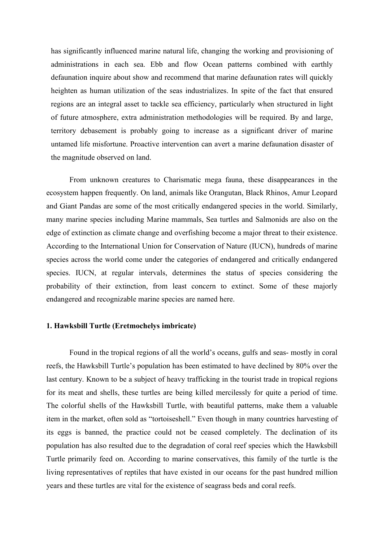has significantly influenced marine natural life, changing the working and provisioning of administrations in each sea. Ebb and flow Ocean patterns combined with earthly defaunation inquire about show and recommend that marine defaunation rates will quickly heighten as human utilization of the seas industrializes. In spite of the fact that ensured regions are an integral asset to tackle sea efficiency, particularly when structured in light of future atmosphere, extra administration methodologies will be required. By and large, territory debasement is probably going to increase as a significant driver of marine untamed life misfortune. Proactive intervention can avert a marine defaunation disaster of the magnitude observed on land.

From unknown creatures to Charismatic mega fauna, these disappearances in the ecosystem happen frequently. On land, animals like Orangutan, Black Rhinos, Amur Leopard and Giant Pandas are some of the most critically endangered species in the world. Similarly, many marine species including Marine mammals, Sea turtles and Salmonids are also on the edge of extinction as climate change and overfishing become a major threat to their existence. According to the International Union for Conservation of Nature (IUCN), hundreds of marine species across the world come under the categories of endangered and critically endangered species. IUCN, at regular intervals, determines the status of species considering the probability of their extinction, from least concern to extinct. Some of these majorly endangered and recognizable marine species are named here.

#### **1. Hawksbill Turtle (Eretmochelys imbricate)**

Found in the tropical regions of all the world's oceans, gulfs and seas- mostly in coral reefs, the Hawksbill Turtle's population has been estimated to have declined by 80% over the last century. Known to be a subject of heavy trafficking in the tourist trade in tropical regions for its meat and shells, these turtles are being killed mercilessly for quite a period of time. The colorful shells of the Hawksbill Turtle, with beautiful patterns, make them a valuable item in the market, often sold as "tortoiseshell." Even though in many countries harvesting of its eggs is banned, the practice could not be ceased completely. The declination of its population has also resulted due to the degradation of coral reef species which the Hawksbill Turtle primarily feed on. According to marine conservatives, this family of the turtle is the living representatives of reptiles that have existed in our oceans for the past hundred million years and these turtles are vital for the existence of seagrass beds and coral reefs.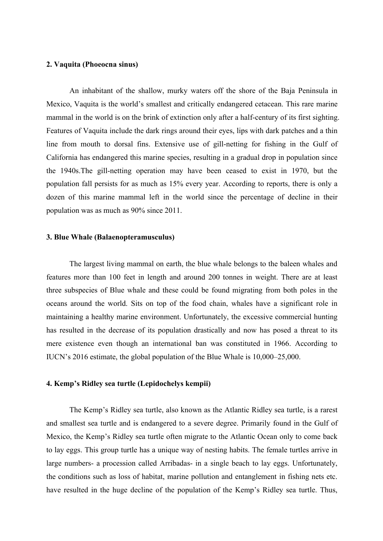# **2. Vaquita (Phoeocna sinus)**

An inhabitant of the shallow, murky waters off the shore of the Baja Peninsula in Mexico, Vaquita is the world's smallest and critically endangered cetacean. This rare marine mammal in the world is on the brink of extinction only after a half-century of its first sighting. Features of Vaquita include the dark rings around their eyes, lips with dark patches and a thin line from mouth to dorsal fins. Extensive use of gill-netting for fishing in the Gulf of California has endangered this marine species, resulting in a gradual drop in population since the 1940s.The gill-netting operation may have been ceased to exist in 1970, but the population fall persists for as much as 15% every year. According to reports, there is only a dozen of this marine mammal left in the world since the percentage of decline in their population was as much as 90% since 2011.

#### **3. Blue Whale (Balaenopteramusculus)**

The largest living mammal on earth, the blue whale belongs to the baleen whales and features more than 100 feet in length and around 200 tonnes in weight. There are at least three subspecies of Blue whale and these could be found migrating from both poles in the oceans around the world. Sits on top of the food chain, whales have a significant role in maintaining a healthy marine environment. Unfortunately, the excessive commercial hunting has resulted in the decrease of its population drastically and now has posed athreat to its mere existence even though an international ban was constituted in 1966. According to IUCN's 2016 estimate, the global population of the Blue Whale is 10,000–25,000.

# **4. Kemp's Ridley sea turtle (Lepidochelys kempii)**

The Kemp's Ridley sea turtle, also known as the Atlantic Ridley sea turtle, is a rarest and smallest sea turtle and is endangered to a severe degree. Primarily found in the Gulf of Mexico, the Kemp's Ridley sea turtle often migrate to the Atlantic Ocean only to come back to lay eggs. This group turtle has a unique way of nesting habits. The female turtles arrive in large numbers- a procession called Arribadas- in a single beach to lay eggs. Unfortunately, the conditions such as loss of habitat, marine pollution and entanglement in fishing nets etc. have resulted in the huge decline of the population of the Kemp's Ridley sea turtle. Thus,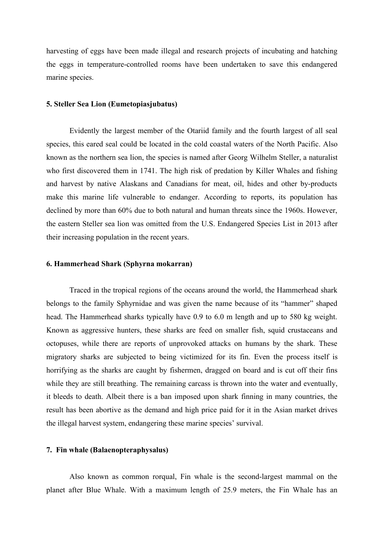harvesting of eggs have been made illegal and research projects of incubating and hatching the eggs in temperature-controlled rooms have been undertaken to save this endangered marine species.

#### **5. Steller Sea Lion (Eumetopiasjubatus)**

Evidently the largest member of the Otariid family and the fourth largest of all seal species, this eared seal could be located in the cold coastal waters of the North Pacific. Also known as the northern sea lion, the species is named after Georg Wilhelm Steller, a naturalist who first discovered them in 1741. The high risk of predation by Killer Whales and fishing and harvest by native Alaskans and Canadians for meat, oil, hides and other by-products make this marine life vulnerable to endanger. According to reports, its population has declined by more than 60% due to both natural and human threats since the 1960s. However, the eastern Steller sea lion was omitted from the U.S. Endangered Species List in 2013 after their increasing population in the recent years.

# **6. Hammerhead Shark (Sphyrna mokarran)**

Traced in the tropical regions of the oceans around the world, the Hammerhead shark belongs to the family Sphyrnidae and was given the name because of its "hammer" shaped head. The Hammerhead sharks typically have 0.9 to 6.0 m length and up to 580 kg weight. Known as aggressive hunters, these sharks are feed on smaller fish, squid crustaceans and octopuses, while there are reports of unprovoked attacks on humans by the shark. These migratory sharks are subjected to being victimized for its fin. Even the process itself is horrifying as the sharks are caught by fishermen, dragged on board and is cut off their fins while they are still breathing. The remaining carcass is thrown into the water and eventually, it bleeds to death. Albeit there is a ban imposed upon shark finning in many countries, the result has been abortive as the demand and high price paid for it in the Asian market drives the illegal harvest system, endangering these marine species' survival.

#### **7. Fin whale (Balaenopteraphysalus)**

Also known as common rorqual, Fin whale is the second-largest mammal on the planet after Blue Whale. With a maximum length of 25.9 meters, the Fin Whale has an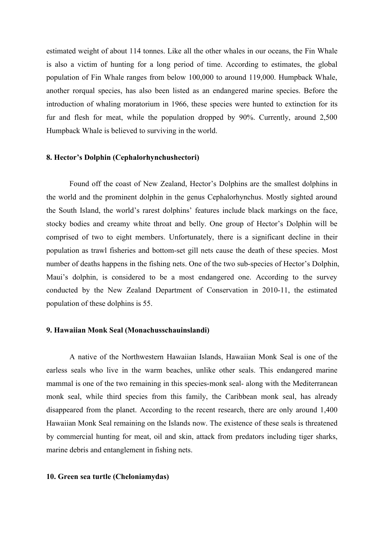estimated weight of about 114 tonnes. Like all the other whales in our oceans, the Fin Whale is also a victim of hunting for a long period of time. According to estimates, the global population of Fin Whale ranges from below 100,000 to around 119,000. Humpback Whale, another rorqual species, has also been listed as an endangered marine species. Before the introduction of whaling moratorium in 1966, these species were hunted to extinction for its fur and flesh for meat, while the population dropped by 90%. Currently, around 2,500 Humpback Whale is believed to surviving in the world.

#### **8. Hector's Dolphin (Cephalorhynchushectori)**

Found off the coast of New Zealand, Hector's Dolphins are the smallest dolphins in the world and the prominent dolphin in the genus Cephalorhynchus. Mostly sighted around the South Island, the world's rarest dolphins' features include black markings on the face, stocky bodies and creamy white throat and belly. One group of Hector's Dolphin will be comprised of two to eight members. Unfortunately, there is a significant decline in their population as trawl fisheries and bottom-set gill nets cause the death of these species. Most number of deaths happens in the fishing nets. One of the two sub-species of Hector's Dolphin, Maui's dolphin, is considered to be a most endangered one. According to the survey conducted by the New Zealand Department of Conservation in 2010-11, the estimated population of these dolphins is 55.

#### **9. Hawaiian Monk Seal (Monachusschauinslandi)**

A native of the Northwestern Hawaiian Islands, Hawaiian Monk Seal is one of the earless seals who live in the warm beaches, unlike other seals. This endangered marine mammal is one of the two remaining in this species-monk seal- along with the Mediterranean monk seal, while third species from this family, the Caribbean monk seal, has already disappeared from the planet. According to the recent research, there are only around 1,400 Hawaiian Monk Seal remaining on the Islands now. The existence of these seals is threatened by commercial hunting for meat, oil and skin, attack from predators including tiger sharks, marine debris and entanglement in fishing nets.

#### **10. Green sea turtle (Cheloniamydas)**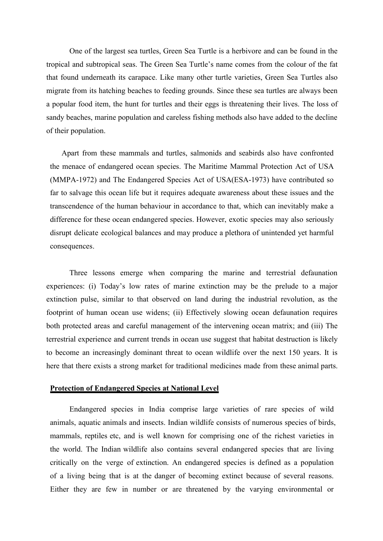One of the largest sea turtles, Green Sea Turtle is a herbivore and can be found in the tropical and subtropical seas. The Green Sea Turtle's name comes from the colour of the fat that found underneath its carapace. Like many other turtle varieties, Green Sea Turtles also migrate from its hatching beaches to feeding grounds. Since these sea turtles are always been a popular food item, the hunt for turtles and their eggs is threatening their lives. The loss of sandy beaches, marine population and careless fishing methods also have added to the decline of their population.

Apart from these mammals and turtles, salmonids and seabirds also have confronted the menace of endangered ocean species. The Maritime Mammal Protection Act of USA (MMPA-1972) and The Endangered Species Act of USA(ESA-1973) have contributed so far to salvage this ocean life but it requires adequate awareness about these issues and the transcendence of the human behaviour in accordance to that, which can inevitably make a difference for these ocean endangered species. However, exotic species may also seriously disrupt delicate ecological balances and may produce a plethora of unintended yet harmful consequences.

Three lessons emerge when comparing the marine and terrestrial defaunation experiences: (i) Today's low rates of marine extinction may be the prelude to a major extinction pulse, similar to that observed on land during the industrial revolution, as the footprint of human ocean use widens; (ii) Effectively slowing ocean defaunation requires both protected areas and careful management of the intervening ocean matrix; and (iii) The terrestrial experience and current trends in ocean use suggest that habitat destruction is likely to become an increasingly dominant threat to ocean wildlife over the next 150 years. It is here that there exists a strong market for traditional medicines made from these animal parts.

## **Protection of Endangered Species at National Level**

Endangered species in India comprise large varieties of rare species of wild animals, aquatic animals and insects. Indian wildlife consists of numerous species of birds, mammals, reptiles etc, and is well known for comprising one of the richest varieties in the world. The Indian wildlife also contains several endangered species that are living critically on the verge of extinction. An endangered species is defined as a population of a living being that is at the danger of becoming extinct because of several reasons. Either they are few in number or are threatened by the varying environmental or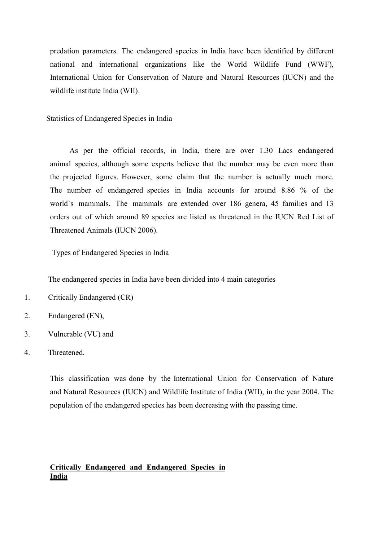predation parameters. The endangered species in India have been identified by different national and international organizations like the World Wildlife Fund (WWF), International Union for Conservation of Nature and Natural Resources (IUCN) and the wildlife institute India (WII).

# Statistics of Endangered Species in India

As per the official records, in India, there are over 1.30 Lacs endangered animal species, although some experts believe that the number may be even more than the projected figures. However, some claim that the number is actually much more. The number of endangered species in India accounts for around 8.86 % of the world`s mammals. The mammals are extended over 186 genera, 45 families and 13 orders out of which around 89 species are listed as threatened in the IUCN Red List of Threatened Animals (IUCN 2006).

## Types of Endangered Species in India

The endangered species in India have been divided into 4 main categories

- 1. Critically Endangered (CR)
- 2. Endangered (EN),
- 3. Vulnerable (VU) and
- 4. Threatened.

This classification was done by the International Union for Conservation of Nature and Natural Resources (IUCN) and Wildlife Institute of India (WII), in the year 2004. The population of the endangered species has been decreasing with the passing time.

# **Critically Endangered and Endangered Species in India**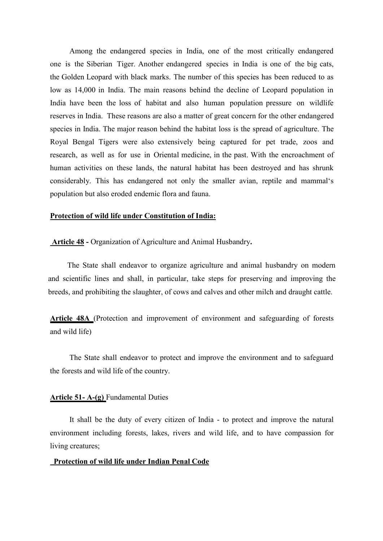Among the endangered species in India, one of the most critically endangered one is the Siberian Tiger. Another endangered species in India is one of the big cats, the Golden Leopard with black marks. The number of this species has been reduced to as low as 14,000 in India. The main reasons behind the decline of Leopard population in India have been the loss of habitat and also human population pressure on wildlife reserves in India. These reasons are also a matter of great concern for the other endangered species in India. The major reason behind the habitat loss is the spread of agriculture. The Royal Bengal Tigers were also extensively being captured for pet trade, zoos and research, as well as for use in Oriental medicine, in the past. With the encroachment of human activities on these lands, the natural habitat has been destroyed and has shrunk considerably. This has endangered not only the smaller avian, reptile and mammal's population but also eroded endemic flora and fauna.

## **Protection of wild life under Constitution of India:**

**Article 48 -** Organization of Agriculture and Animal Husbandry**.**

The State shall endeavor to organize agriculture and animal husbandry on modern and scientific lines and shall, in particular, take steps for preserving and improving the breeds, and prohibiting the slaughter, of cows and calves and other milch and draught cattle.

**Article 48A** (Protection and improvement of environment and safeguarding of forests and wild life)

The State shall endeavor to protect and improve the environment and to safeguard the forests and wild life of the country.

#### **Article 51- A-(g)** Fundamental Duties

It shall be the duty of every citizen of India - to protect and improve the natural environment including forests, lakes, rivers and wild life, and to have compassion for living creatures;

#### **Protection of wild life under Indian Penal Code**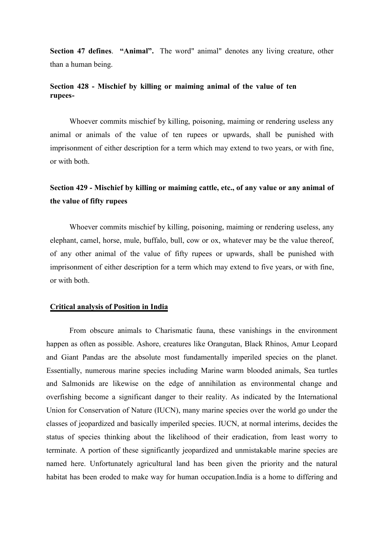**Section 47 defines**. **"Animal".** The word" animal" denotes any living creature, other than a human being.

# **Section 428 - Mischief by killing or maiming animal of the value of ten rupees-**

Whoever commits mischief by killing, poisoning, maiming or rendering useless any animal or animals of the value of ten rupees or upwards, shall be punished with imprisonment of either description for a term which may extend to two years, or with fine, or with both.

# **Section 429 - Mischief by killing or maiming cattle, etc., of any value or any animal of the value of fifty rupees**

Whoever commits mischief by killing, poisoning, maiming or rendering useless, any elephant, camel, horse, mule, buffalo, bull, cow or ox, whatever may be the value thereof, of any other animal of the value of fifty rupees or upwards, shall be punished with imprisonment of either description for a term which may extend to five years, or with fine, or with both.

# **Critical analysis of Position in India**

From obscure animals to Charismatic fauna, these vanishings in the environment happen as often as possible. Ashore, creatures like Orangutan, Black Rhinos, Amur Leopard and Giant Pandas are the absolute most fundamentally imperiled species on the planet. Essentially, numerous marine species including Marine warm blooded animals, Sea turtles and Salmonids are likewise on the edge of annihilation as environmental change and overfishing become a significant danger to their reality. As indicated by the International Union for Conservation of Nature (IUCN), many marine species over the world go under the classes of jeopardized and basically imperiled species. IUCN, at normal interims, decides the status of species thinking about the likelihood of their eradication, from least worry to terminate. A portion of these significantly jeopardized and unmistakable marine species are named here. Unfortunately agricultural land has been given the priority and the natural habitat has been eroded to make way for human occupation.India is a home to differing and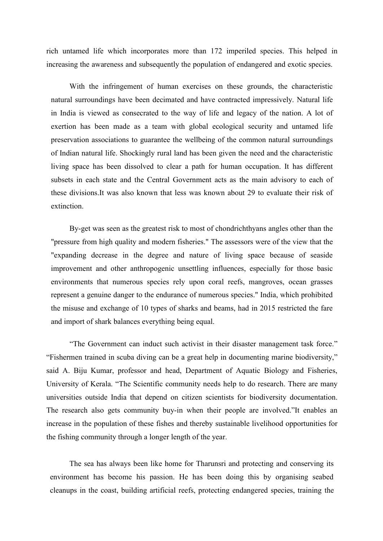rich untamed life which incorporates more than 172 imperiled species. This helped in increasing the awareness and subsequently the population of endangered and exotic species.

With the infringement of human exercises on these grounds, the characteristic natural surroundings have been decimated and have contracted impressively. Natural life in India is viewed as consecrated to the way of life and legacy of the nation. A lot of exertion has been made as a team with global ecological security and untamed life preservation associations to guarantee the wellbeing of the common natural surroundings of Indian natural life. Shockingly rural land has been given the need and the characteristic living space has been dissolved to clear a path for human occupation. It has different subsets in each state and the Central Government acts as the main advisory to each of these divisions.It was also known that less was known about 29 to evaluate their risk of extinction.

By-get was seen as the greatest risk to most of chondrichthyans angles other than the "pressure from high quality and modern fisheries." The assessors were of the view that the "expanding decrease in the degree and nature of living space because of seaside improvement and other anthropogenic unsettling influences, especially for those basic environments that numerous species rely upon coral reefs, mangroves, ocean grasses represent a genuine danger to the endurance of numerous species." India, which prohibited the misuse and exchange of 10 types of sharks and beams, had in 2015 restricted the fare and import of shark balances everything being equal.

"The Government can induct such activist in their disaster management task force." "Fishermen trained in scuba diving can be a great help in documenting marine biodiversity," said A. Biju Kumar, professor and head, Department of Aquatic Biology and Fisheries, University of Kerala. "The Scientific community needs help to do research. There are many universities outside India that depend on citizen scientists for biodiversity documentation. The research also gets community buy-in when their people are involved."It enables an increase in the population of these fishes and thereby sustainable livelihood opportunities for the fishing community through a longer length of the year.<br>The sea has always been like home for Tharunsri and protecting and conserving its

environment has become his passion. He has been doing this by organising seabed cleanups in the coast, building artificial reefs, protecting endangered species, training the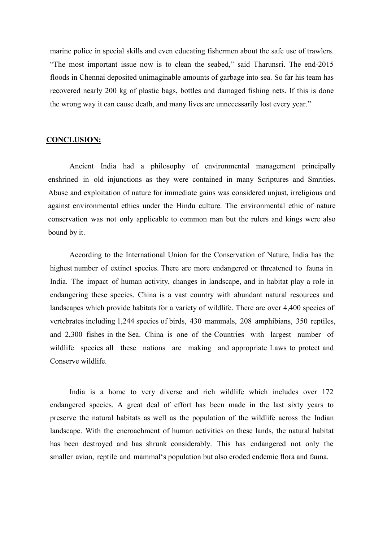marine police in special skills and even educating fishermen about the safe use of trawlers. "The most important issue now is to clean the seabed," said Tharunsri. The end-2015 floods in Chennai deposited unimaginable amounts of garbage into sea. So far his team has recovered nearly 200 kg of plastic bags, bottles and damaged fishing nets. If this is done the wrong way it can cause death, and many lives are unnecessarily lost every year."

## **CONCLUSION:**

Ancient India had a philosophy of environmental management principally enshrined in old injunctions as they were contained in many Scriptures and Smrities. Abuse and exploitation of nature for immediate gains was considered unjust, irreligious and against environmental ethics under the Hindu culture. The environmental ethic of nature conservation was not only applicable to common man but the rulers and kings were also bound by it.

According to the International Union for the Conservation of Nature, India has the highest number of extinct species. There are more endangered or threatened to fauna in India. The impact of human activity, changes in landscape, and in habitat play a role in endangering these species. China is a vast country with abundant natural resources and landscapes which provide habitats for a variety of wildlife. There are over 4,400 species of vertebrates including 1,244 species of birds, 430 mammals, 208 amphibians, 350 reptiles, and 2,300 fishes in the Sea. China is one of the Countries with largest number of wildlife species all these nations are making and appropriate Laws to protect and Conserve wildlife.

India is a home to very diverse and rich wildlife which includes over 172 endangered species. A great deal of effort has been made in the last sixty years to preserve the natural habitats as well as the population of the wildlife across the Indian landscape. With the encroachment of human activities on these lands, the natural habitat has been destroyed and has shrunk considerably. This has endangered not only the smaller avian, reptile and mammal's population but also eroded endemic flora and fauna.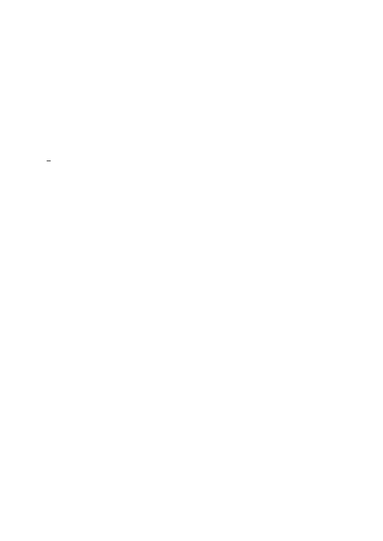$\overline{\phantom{0}}$